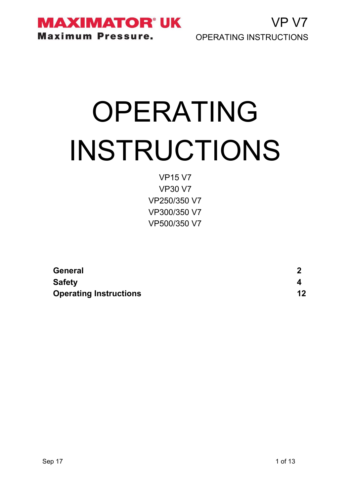

VP V7 OPERATING INSTRUCTIONS

# OPERATING INSTRUCTIONS

VP15 V7 VP30 V7 VP250/350 V7 VP300/350 V7 VP500/350 V7

| <b>General</b>                |    |
|-------------------------------|----|
| <b>Safety</b>                 |    |
| <b>Operating Instructions</b> | 12 |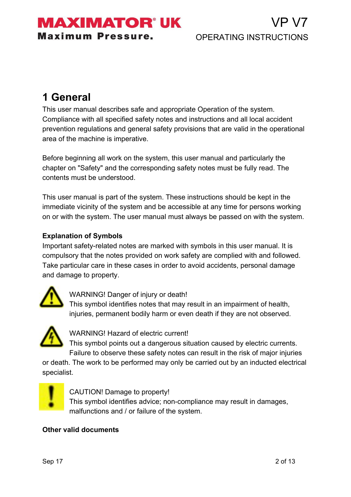### MAXIMATOR° UK **Maximum Pressure.**

# **1 General**

This user manual describes safe and appropriate Operation of the system. Compliance with all specified safety notes and instructions and all local accident prevention regulations and general safety provisions that are valid in the operational area of the machine is imperative.

Before beginning all work on the system, this user manual and particularly the chapter on "Safety" and the corresponding safety notes must be fully read. The contents must be understood.

This user manual is part of the system. These instructions should be kept in the immediate vicinity of the system and be accessible at any time for persons working on or with the system. The user manual must always be passed on with the system.

#### **Explanation of Symbols**

Important safety-related notes are marked with symbols in this user manual. It is compulsory that the notes provided on work safety are complied with and followed. Take particular care in these cases in order to avoid accidents, personal damage and damage to property.



WARNING! Danger of injury or death!

This symbol identifies notes that may result in an impairment of health, injuries, permanent bodily harm or even death if they are not observed.



WARNING! Hazard of electric current!

This symbol points out a dangerous situation caused by electric currents. Failure to observe these safety notes can result in the risk of major injuries

or death. The work to be performed may only be carried out by an inducted electrical specialist.



CAUTION! Damage to property! This symbol identifies advice; non-compliance may result in damages, malfunctions and / or failure of the system.

#### **Other valid documents**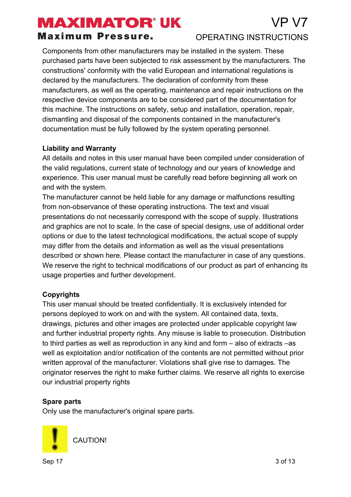# $P<sub>V</sub>$

#### **Maximum Pressure.**

#### OPERATING INSTRUCTIONS

Components from other manufacturers may be installed in the system. These purchased parts have been subjected to risk assessment by the manufacturers. The constructions' conformity with the valid European and international regulations is declared by the manufacturers. The declaration of conformity from these manufacturers, as well as the operating, maintenance and repair instructions on the respective device components are to be considered part of the documentation for this machine. The instructions on safety, setup and installation, operation, repair, dismantling and disposal of the components contained in the manufacturer's documentation must be fully followed by the system operating personnel.

#### **Liability and Warranty**

All details and notes in this user manual have been compiled under consideration of the valid regulations, current state of technology and our years of knowledge and experience. This user manual must be carefully read before beginning all work on and with the system.

The manufacturer cannot be held liable for any damage or malfunctions resulting from non-observance of these operating instructions. The text and visual presentations do not necessarily correspond with the scope of supply. Illustrations and graphics are not to scale. In the case of special designs, use of additional order options or due to the latest technological modifications, the actual scope of supply may differ from the details and information as well as the visual presentations described or shown here. Please contact the manufacturer in case of any questions. We reserve the right to technical modifications of our product as part of enhancing its usage properties and further development.

#### **Copyrights**

This user manual should be treated confidentially. It is exclusively intended for persons deployed to work on and with the system. All contained data, texts, drawings, pictures and other images are protected under applicable copyright law and further industrial property rights. Any misuse is liable to prosecution. Distribution to third parties as well as reproduction in any kind and form – also of extracts –as well as exploitation and/or notification of the contents are not permitted without prior written approval of the manufacturer. Violations shall give rise to damages. The originator reserves the right to make further claims. We reserve all rights to exercise our industrial property rights

#### **Spare parts**

Only use the manufacturer's original spare parts.



CAUTION!

 $\mathsf{Sep}~17$  3 of 13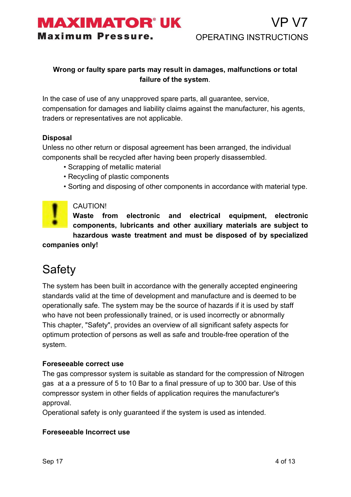

#### **Wrong or faulty spare parts may result in damages, malfunctions or total failure of the system**.

In the case of use of any unapproved spare parts, all guarantee, service, compensation for damages and liability claims against the manufacturer, his agents, traders or representatives are not applicable.

#### **Disposal**

Unless no other return or disposal agreement has been arranged, the individual components shall be recycled after having been properly disassembled.

- Scrapping of metallic material
- Recycling of plastic components
- Sorting and disposing of other components in accordance with material type.



#### CAUTION!

**Waste from electronic and electrical equipment, electronic components, lubricants and other auxiliary materials are subject to hazardous waste treatment and must be disposed of by specialized companies only!**

# Safety

The system has been built in accordance with the generally accepted engineering standards valid at the time of development and manufacture and is deemed to be operationally safe. The system may be the source of hazards if it is used by staff who have not been professionally trained, or is used incorrectly or abnormally This chapter, "Safety", provides an overview of all significant safety aspects for optimum protection of persons as well as safe and trouble-free operation of the system.

#### **Foreseeable correct use**

The gas compressor system is suitable as standard for the compression of Nitrogen gas at a a pressure of 5 to 10 Bar to a final pressure of up to 300 bar. Use of this compressor system in other fields of application requires the manufacturer's approval.

Operational safety is only guaranteed if the system is used as intended.

#### **Foreseeable Incorrect use**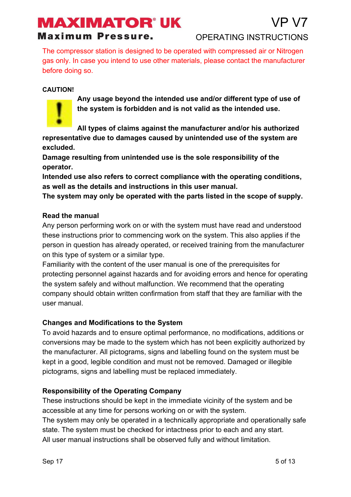#### **Maximum Pressure.**

P VZ

The compressor station is designed to be operated with compressed air or Nitrogen gas only. In case you intend to use other materials, please contact the manufacturer before doing so.

#### **CAUTION!**



**Any usage beyond the intended use and/or different type of use of the system is forbidden and is not valid as the intended use.**

**All types of claims against the manufacturer and/or his authorized representative due to damages caused by unintended use of the system are excluded.**

**Damage resulting from unintended use is the sole responsibility of the operator.**

**Intended use also refers to correct compliance with the operating conditions, as well as the details and instructions in this user manual.**

**The system may only be operated with the parts listed in the scope of supply.**

#### **Read the manual**

Any person performing work on or with the system must have read and understood these instructions prior to commencing work on the system. This also applies if the person in question has already operated, or received training from the manufacturer on this type of system or a similar type.

Familiarity with the content of the user manual is one of the prerequisites for protecting personnel against hazards and for avoiding errors and hence for operating the system safely and without malfunction. We recommend that the operating company should obtain written confirmation from staff that they are familiar with the user manual.

#### **Changes and Modifications to the System**

To avoid hazards and to ensure optimal performance, no modifications, additions or conversions may be made to the system which has not been explicitly authorized by the manufacturer. All pictograms, signs and labelling found on the system must be kept in a good, legible condition and must not be removed. Damaged or illegible pictograms, signs and labelling must be replaced immediately.

#### **Responsibility of the Operating Company**

These instructions should be kept in the immediate vicinity of the system and be accessible at any time for persons working on or with the system.

The system may only be operated in a technically appropriate and operationally safe state. The system must be checked for intactness prior to each and any start. All user manual instructions shall be observed fully and without limitation.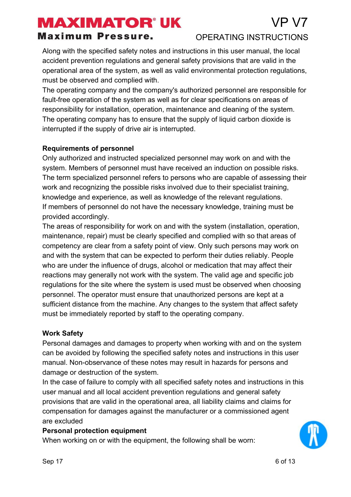#### **Maximum Pressure.**

#### OPERATING INSTRUCTIONS

Along with the specified safety notes and instructions in this user manual, the local accident prevention regulations and general safety provisions that are valid in the operational area of the system, as well as valid environmental protection regulations, must be observed and complied with.

The operating company and the company's authorized personnel are responsible for fault-free operation of the system as well as for clear specifications on areas of responsibility for installation, operation, maintenance and cleaning of the system. The operating company has to ensure that the supply of liquid carbon dioxide is interrupted if the supply of drive air is interrupted.

#### **Requirements of personnel**

Only authorized and instructed specialized personnel may work on and with the system. Members of personnel must have received an induction on possible risks. The term specialized personnel refers to persons who are capable of assessing their work and recognizing the possible risks involved due to their specialist training, knowledge and experience, as well as knowledge of the relevant regulations. If members of personnel do not have the necessary knowledge, training must be provided accordingly.

The areas of responsibility for work on and with the system (installation, operation, maintenance, repair) must be clearly specified and complied with so that areas of competency are clear from a safety point of view. Only such persons may work on and with the system that can be expected to perform their duties reliably. People who are under the influence of drugs, alcohol or medication that may affect their reactions may generally not work with the system. The valid age and specific job regulations for the site where the system is used must be observed when choosing personnel. The operator must ensure that unauthorized persons are kept at a sufficient distance from the machine. Any changes to the system that affect safety must be immediately reported by staff to the operating company.

#### **Work Safety**

Personal damages and damages to property when working with and on the system can be avoided by following the specified safety notes and instructions in this user manual. Non-observance of these notes may result in hazards for persons and damage or destruction of the system.

In the case of failure to comply with all specified safety notes and instructions in this user manual and all local accident prevention regulations and general safety provisions that are valid in the operational area, all liability claims and claims for compensation for damages against the manufacturer or a commissioned agent are excluded

#### **Personal protection equipment**

When working on or with the equipment, the following shall be worn:

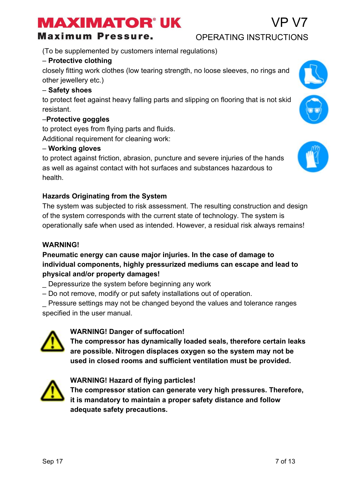**Maximum Pressure.** 

(To be supplemented by customers internal regulations)

#### – **Protective clothing**

closely fitting work clothes (low tearing strength, no loose sleeves, no rings and other jewellery etc.)

#### – **Safety shoes**

to protect feet against heavy falling parts and slipping on flooring that is not skid resistant.

#### –**Protective goggles**

to protect eyes from flying parts and fluids. Additional requirement for cleaning work:

#### – **Working gloves**

to protect against friction, abrasion, puncture and severe injuries of the hands as well as against contact with hot surfaces and substances hazardous to health.

#### **Hazards Originating from the System**

The system was subjected to risk assessment. The resulting construction and design of the system corresponds with the current state of technology. The system is operationally safe when used as intended. However, a residual risk always remains!

#### **WARNING!**

#### **Pneumatic energy can cause major injuries. In the case of damage to individual components, highly pressurized mediums can escape and lead to physical and/or property damages!**

- \_ Depressurize the system before beginning any work
- Do not remove, modify or put safety installations out of operation.

\_ Pressure settings may not be changed beyond the values and tolerance ranges specified in the user manual.



#### **WARNING! Danger of suffocation!**

**The compressor has dynamically loaded seals, therefore certain leaks are possible. Nitrogen displaces oxygen so the system may not be used in closed rooms and sufficient ventilation must be provided.**



#### **WARNING! Hazard of flying particles!**

**The compressor station can generate very high pressures. Therefore, it is mandatory to maintain a proper safety distance and follow adequate safety precautions.**





# VP V7

#### OPERATING INSTRUCTIONS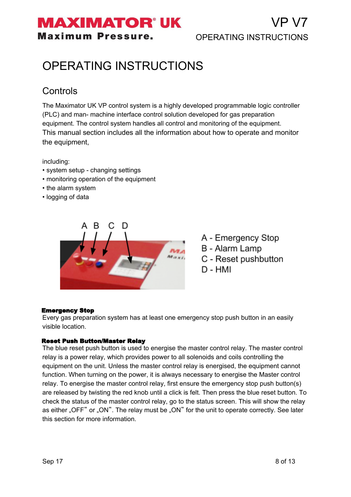## **MAXIMATOR®UK Maximum Pressure.**

# OPERATING INSTRUCTIONS

### **Controls**

The Maximator UK VP control system is a highly developed programmable logic controller (PLC) and man- machine interface control solution developed for gas preparation equipment. The control system handles all control and monitoring of the equipment. This manual section includes all the information about how to operate and monitor the equipment,

including:

- system setup changing settings
- monitoring operation of the equipment
- the alarm system
- logging of data



A - Emergency Stop

- B Alarm Lamp
- C Reset pushbutton
- $D HMI$

#### Emergency Stop

Every gas preparation system has at least one emergency stop push button in an easily visible location.

#### Reset Push Button/Master Relay

The blue reset push button is used to energise the master control relay. The master control relay is a power relay, which provides power to all solenoids and coils controlling the equipment on the unit. Unless the master control relay is energised, the equipment cannot function. When turning on the power, it is always necessary to energise the Master control relay. To energise the master control relay, first ensure the emergency stop push button(s) are released by twisting the red knob until a click is felt. Then press the blue reset button. To check the status of the master control relay, go to the status screen. This will show the relay as either "OFF" or "ON". The relay must be "ON" for the unit to operate correctly. See later this section for more information.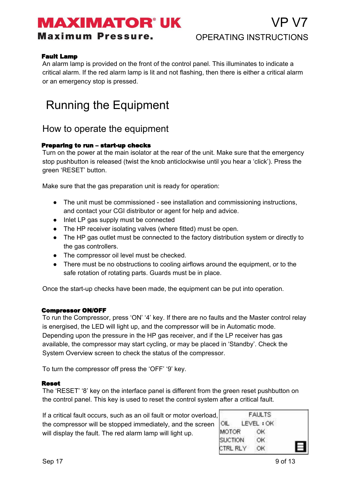# MAXIMATOR° UK

**Maximum Pressure.** 

#### Fault Lamp

An alarm lamp is provided on the front of the control panel. This illuminates to indicate a critical alarm. If the red alarm lamp is lit and not flashing, then there is either a critical alarm or an emergency stop is pressed.

# Running the Equipment

### How to operate the equipment

#### Preparing to run – start-up checks

Turn on the power at the main isolator at the rear of the unit. Make sure that the emergency stop pushbutton is released (twist the knob anticlockwise until you hear a 'click'). Press the green 'RESET' button.

Make sure that the gas preparation unit is ready for operation:

- The unit must be commissioned see installation and commissioning instructions, and contact your CGI distributor or agent for help and advice.
- Inlet LP gas supply must be connected
- The HP receiver isolating valves (where fitted) must be open.
- The HP gas outlet must be connected to the factory distribution system or directly to the gas controllers.
- The compressor oil level must be checked.
- There must be no obstructions to cooling airflows around the equipment, or to the safe rotation of rotating parts. Guards must be in place.

Once the start-up checks have been made, the equipment can be put into operation.

#### Compressor ON/OFF

To run the Compressor, press 'ON' '4' key. If there are no faults and the Master control relay is energised, the LED will light up, and the compressor will be in Automatic mode. Depending upon the pressure in the HP gas receiver, and if the LP receiver has gas available, the compressor may start cycling, or may be placed in 'Standby'. Check the System Overview screen to check the status of the compressor.

To turn the compressor off press the 'OFF' '9' key.

#### Reset

The 'RESET' '8' key on the interface panel is different from the green reset pushbutton on the control panel. This key is used to reset the control system after a critical fault.

If a critical fault occurs, such as an oil fault or motor overload, the compressor will be stopped immediately, and the screen will display the fault. The red alarm lamp will light up.

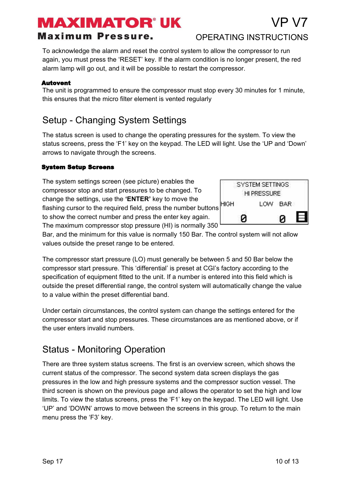# MAXIMATOR° UK

#### **Maximum Pressure.**

To acknowledge the alarm and reset the control system to allow the compressor to run again, you must press the 'RESET' key. If the alarm condition is no longer present, the red alarm lamp will go out, and it will be possible to restart the compressor.

#### Autovent

The unit is programmed to ensure the compressor must stop every 30 minutes for 1 minute, this ensures that the micro filter element is vented regularly

### Setup - Changing System Settings

The status screen is used to change the operating pressures for the system. To view the status screens, press the 'F1' key on the keypad. The LED will light. Use the 'UP and 'Down' arrows to navigate through the screens.

#### System Setup Screens

The system settings screen (see picture) enables the compressor stop and start pressures to be changed. To change the settings, use the **'ENTER'** key to move the flashing cursor to the required field, press the number buttons to show the correct number and press the enter key again. The maximum compressor stop pressure (HI) is normally 350

Bar, and the minimum for this value is normally 150 Bar. The control system will not allow values outside the preset range to be entered.

The compressor start pressure (LO) must generally be between 5 and 50 Bar below the compressor start pressure. This 'differential' is preset at CGI's factory according to the specification of equipment fitted to the unit. If a number is entered into this field which is outside the preset differential range, the control system will automatically change the value to a value within the preset differential band.

Under certain circumstances, the control system can change the settings entered for the compressor start and stop pressures. These circumstances are as mentioned above, or if the user enters invalid numbers.

### Status - Monitoring Operation

There are three system status screens. The first is an overview screen, which shows the current status of the compressor. The second system data screen displays the gas pressures in the low and high pressure systems and the compressor suction vessel. The third screen is shown on the previous page and allows the operator to set the high and low limits. To view the status screens, press the 'F1' key on the keypad. The LED will light. Use 'UP' and 'DOWN' arrows to move between the screens in this group. To return to the main menu press the 'F3' key.



OPERATING INSTRUCTIONS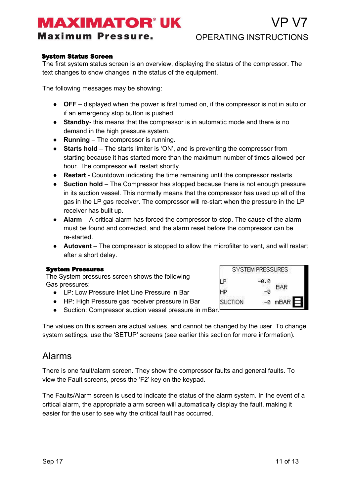**Maximum Pressure.** 

#### System Status Screen

The first system status screen is an overview, displaying the status of the compressor. The text changes to show changes in the status of the equipment.

The following messages may be showing:

- **OFF** displayed when the power is first turned on, if the compressor is not in auto or if an emergency stop button is pushed.
- **Standby-** this means that the compressor is in automatic mode and there is no demand in the high pressure system.
- **Running** The compressor is running.
- **Starts hold** The starts limiter is 'ON', and is preventing the compressor from starting because it has started more than the maximum number of times allowed per hour. The compressor will restart shortly.
- **Restart** Countdown indicating the time remaining until the compressor restarts
- **Suction hold** The Compressor has stopped because there is not enough pressure in its suction vessel. This normally means that the compressor has used up all of the gas in the LP gas receiver. The compressor will re-start when the pressure in the LP receiver has built up.
- **Alarm** A critical alarm has forced the compressor to stop. The cause of the alarm must be found and corrected, and the alarm reset before the compressor can be re-started.
- **Autovent** The compressor is stopped to allow the microfilter to vent, and will restart after a short delay.

#### System Pressures

The System pressures screen shows the following Gas pressures:

- LP: Low Pressure Inlet Line Pressure in Bar
- HP: High Pressure gas receiver pressure in Bar
- Suction: Compressor suction vessel pressure in mBar.

The values on this screen are actual values, and cannot be changed by the user. To change system settings, use the 'SETUP' screens (see earlier this section for more information).

#### Alarms

There is one fault/alarm screen. They show the compressor faults and general faults. To view the Fault screens, press the 'F2' key on the keypad.

The Faults/Alarm screen is used to indicate the status of the alarm system. In the event of a critical alarm, the appropriate alarm screen will automatically display the fault, making it easier for the user to see why the critical fault has occurred.

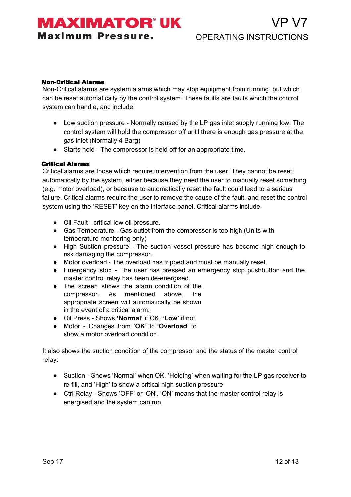### **MAXIMATOR UK Maximum Pressure.**

#### Non-Critical Alarms

Non-Critical alarms are system alarms which may stop equipment from running, but which can be reset automatically by the control system. These faults are faults which the control system can handle, and include:

- Low suction pressure Normally caused by the LP gas inlet supply running low. The control system will hold the compressor off until there is enough gas pressure at the gas inlet (Normally 4 Barg)
- Starts hold The compressor is held off for an appropriate time.

#### Critical Alarms

Critical alarms are those which require intervention from the user. They cannot be reset automatically by the system, either because they need the user to manually reset something (e.g. motor overload), or because to automatically reset the fault could lead to a serious failure. Critical alarms require the user to remove the cause of the fault, and reset the control system using the 'RESET' key on the interface panel. Critical alarms include:

- Oil Fault critical low oil pressure.
- Gas Temperature Gas outlet from the compressor is too high (Units with temperature monitoring only)
- High Suction pressure The suction vessel pressure has become high enough to risk damaging the compressor.
- Motor overload The overload has tripped and must be manually reset.
- Emergency stop The user has pressed an emergency stop pushbutton and the master control relay has been de-energised.
- The screen shows the alarm condition of the compressor. As mentioned above, the appropriate screen will automatically be shown in the event of a critical alarm:
- Oil Press Shows **'Normal'** if OK, **'Low'** if not
- Motor Changes from '**OK**' to '**Overload**' to show a motor overload condition

It also shows the suction condition of the compressor and the status of the master control relay:

- Suction Shows 'Normal' when OK, 'Holding' when waiting for the LP gas receiver to re-fill, and 'High' to show a critical high suction pressure.
- Ctrl Relay Shows 'OFF' or 'ON'. 'ON' means that the master control relay is energised and the system can run.